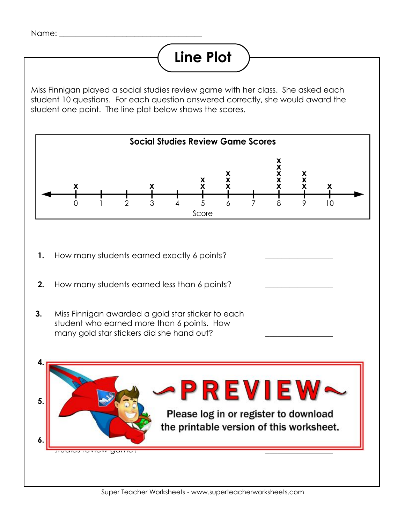## **Line Plot**

Miss Finnigan played a social studies review game with her class. She asked each student 10 questions. For each question answered correctly, she would award the student one point. The line plot below shows the scores.